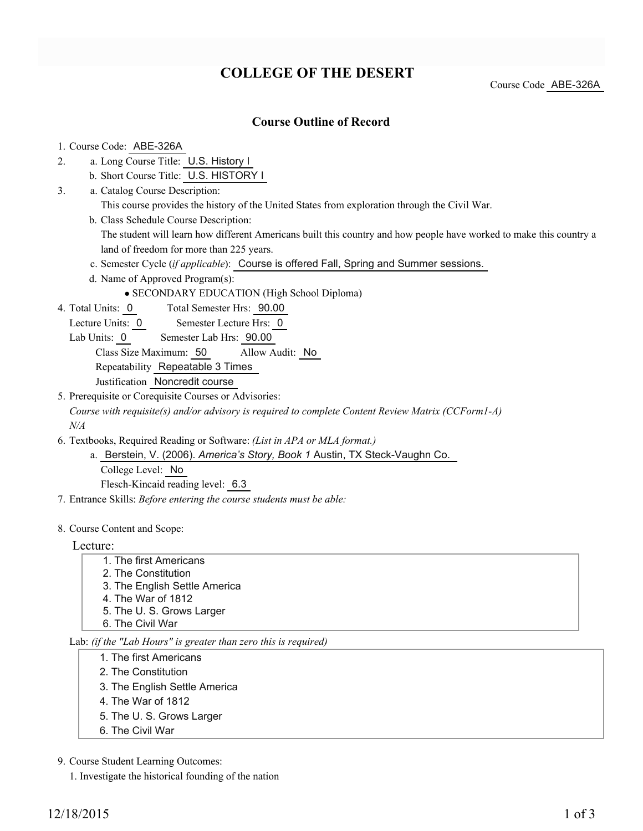# **COLLEGE OF THE DESERT**

Course Code ABE-326A

#### **Course Outline of Record**

1. Course Code: ABE-326A

- a. Long Course Title: U.S. History I 2.
	- b. Short Course Title: U.S. HISTORY I
- Catalog Course Description: a. 3.
	- This course provides the history of the United States from exploration through the Civil War.
	- b. Class Schedule Course Description:

The student will learn how different Americans built this country and how people have worked to make this country a land of freedom for more than 225 years.

- c. Semester Cycle (*if applicable*): Course is offered Fall, Spring and Summer sessions.
- d. Name of Approved Program(s):
	- SECONDARY EDUCATION (High School Diploma)

Total Semester Hrs: 90.00 4. Total Units: 0

- Lecture Units: 0 Semester Lecture Hrs: 0
- Lab Units: 0 Semester Lab Hrs: 90.00

Class Size Maximum: 50 Allow Audit: No

Repeatability Repeatable 3 Times

- Justification Noncredit course
- 5. Prerequisite or Corequisite Courses or Advisories:

*Course with requisite(s) and/or advisory is required to complete Content Review Matrix (CCForm1-A) N/A*

- Textbooks, Required Reading or Software: *(List in APA or MLA format.)* 6.
	- a. Berstein, V. (2006). America's Story, Book 1 Austin, TX Steck-Vaughn Co. College Level: No Flesch-Kincaid reading level: 6.3
- 7. Entrance Skills: *Before entering the course students must be able:*
- 8. Course Content and Scope:

Lecture:

1. The first Americans 2. The Constitution 3. The English Settle America 4. The War of 1812 5. The U. S. Grows Larger 6. The Civil War

Lab: *(if the "Lab Hours" is greater than zero this is required)*

- 1. The first Americans
- 2. The Constitution
- 3. The English Settle America
- 4. The War of 1812
- 5. The U. S. Grows Larger
- 6. The Civil War

9. Course Student Learning Outcomes:

1. Investigate the historical founding of the nation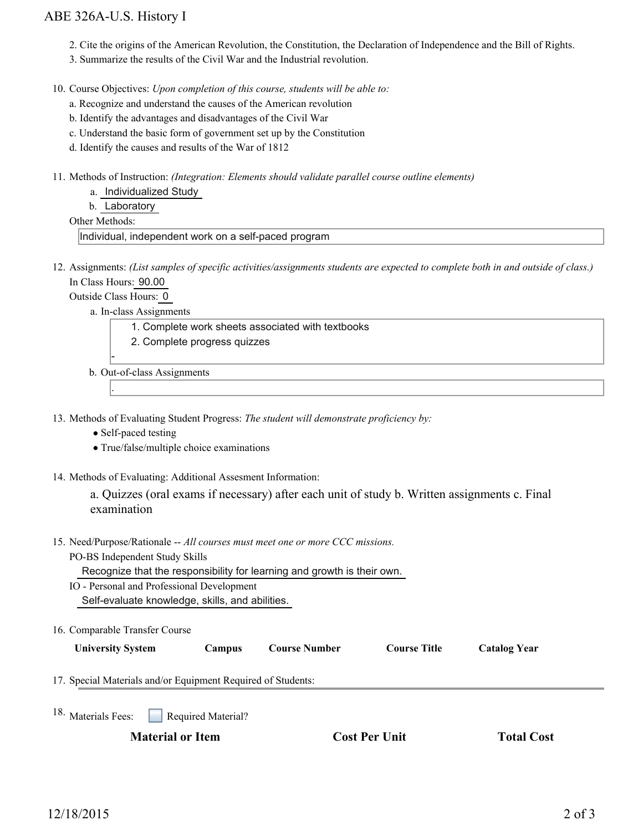### ABE 326A-U.S. History I

- 2. Cite the origins of the American Revolution, the Constitution, the Declaration of Independence and the Bill of Rights.
- 3. Summarize the results of the Civil War and the Industrial revolution.

10. Course Objectives: Upon completion of this course, students will be able to:

- a. Recognize and understand the causes of the American revolution
- b. Identify the advantages and disadvantages of the Civil War
- c. Understand the basic form of government set up by the Constitution
- d. Identify the causes and results of the War of 1812
- 11. Methods of Instruction: *(Integration: Elements should validate parallel course outline elements)* 
	- a. Individualized Study

b. Laboratory

Other Methods:

Individual, independent work on a self-paced program

12. Assignments: (List samples of specific activities/assignments students are expected to complete both in and outside of class.) In Class Hours: 90.00

Outside Class Hours: 0

.

a. In-class Assignments

- 1. Complete work sheets associated with textbooks
- 2. Complete progress quizzes

 b. Out-of-class Assignments

13. Methods of Evaluating Student Progress: The student will demonstrate proficiency by:

- Self-paced testing
- True/false/multiple choice examinations
- 14. Methods of Evaluating: Additional Assesment Information:

a. Quizzes (oral exams if necessary) after each unit of study b. Written assignments c. Final examination

15. Need/Purpose/Rationale -- All courses must meet one or more CCC missions.

PO-BS Independent Study Skills

Recognize that the responsibility for learning and growth is their own.

- IO Personal and Professional Development Self-evaluate knowledge, skills, and abilities.
- 16. Comparable Transfer Course

| <b>Iniversity System</b> |  |
|--------------------------|--|
|--------------------------|--|

**University System Campus Course Number Course Title Catalog Year**

17. Special Materials and/or Equipment Required of Students:

Required Material? 18. Materials Fees:

**Material or Item Cost Per Unit Total Cost Cost Per Unit Cost**